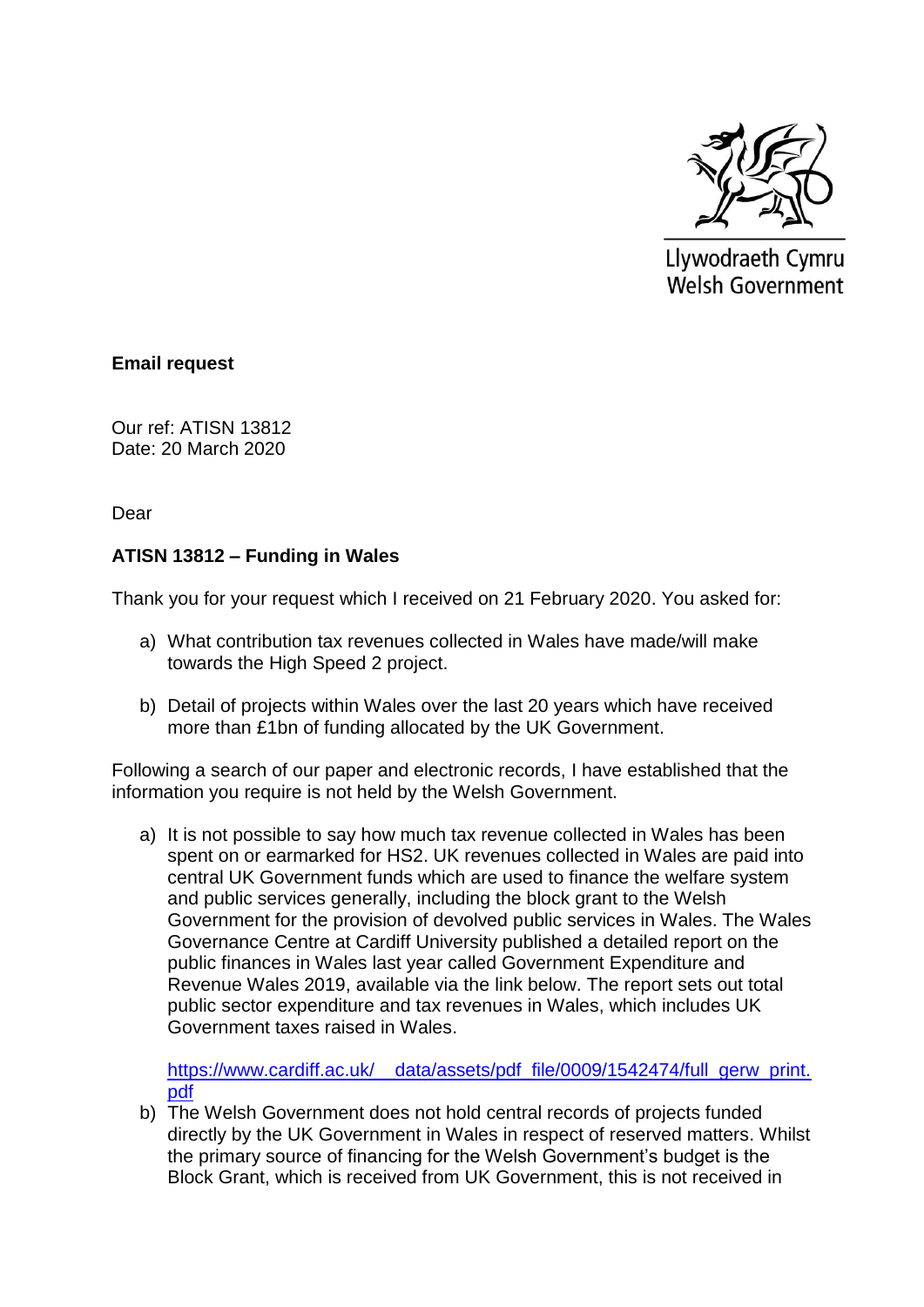

Llywodraeth Cymru **Welsh Government** 

## **Email request**

Our ref: ATISN 13812 Date: 20 March 2020

Dear

## **ATISN 13812 – Funding in Wales**

Thank you for your request which I received on 21 February 2020. You asked for:

- a) What contribution tax revenues collected in Wales have made/will make towards the High Speed 2 project.
- b) Detail of projects within Wales over the last 20 years which have received more than £1bn of funding allocated by the UK Government.

Following a search of our paper and electronic records, I have established that the information you require is not held by the Welsh Government.

a) It is not possible to say how much tax revenue collected in Wales has been spent on or earmarked for HS2. UK revenues collected in Wales are paid into central UK Government funds which are used to finance the welfare system and public services generally, including the block grant to the Welsh Government for the provision of devolved public services in Wales. The Wales Governance Centre at Cardiff University published a detailed report on the public finances in Wales last year called Government Expenditure and Revenue Wales 2019, available via the link below. The report sets out total public sector expenditure and tax revenues in Wales, which includes UK Government taxes raised in Wales.

[https://www.cardiff.ac.uk/\\_\\_data/assets/pdf\\_file/0009/1542474/full\\_gerw\\_print.](https://www.cardiff.ac.uk/__data/assets/pdf_file/0009/1542474/full_gerw_print.pdf) [pdf](https://www.cardiff.ac.uk/__data/assets/pdf_file/0009/1542474/full_gerw_print.pdf)

b) The Welsh Government does not hold central records of projects funded directly by the UK Government in Wales in respect of reserved matters. Whilst the primary source of financing for the Welsh Government's budget is the Block Grant, which is received from UK Government, this is not received in